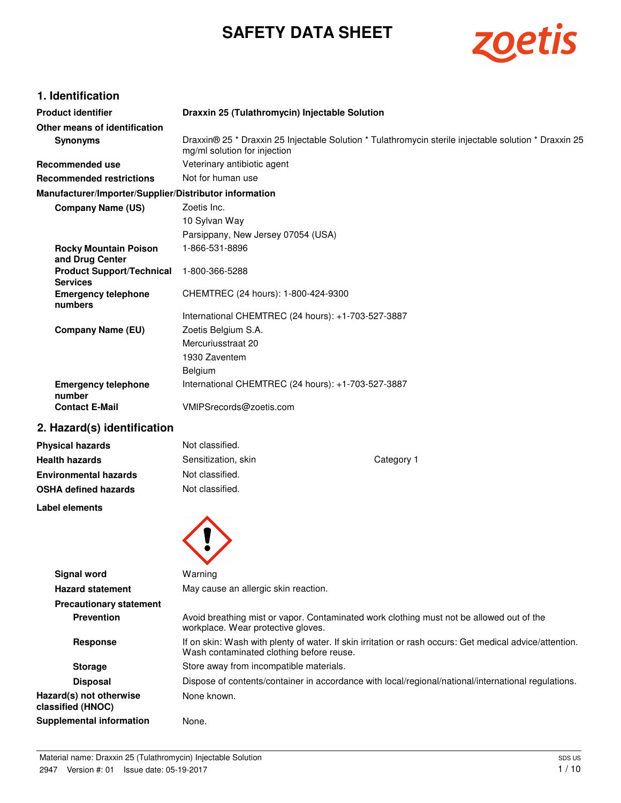# **SAFETY DATA SHEET**



# **1. Identification**

| <b>Product identifier</b>                              | Draxxin 25 (Tulathromycin) Injectable Solution                                                                                        |
|--------------------------------------------------------|---------------------------------------------------------------------------------------------------------------------------------------|
| Other means of identification                          |                                                                                                                                       |
| <b>Synonyms</b>                                        | Draxxin® 25 * Draxxin 25 Injectable Solution * Tulathromycin sterile injectable solution * Draxxin 25<br>mg/ml solution for injection |
| Recommended use                                        | Veterinary antibiotic agent                                                                                                           |
| <b>Recommended restrictions</b>                        | Not for human use                                                                                                                     |
| Manufacturer/Importer/Supplier/Distributor information |                                                                                                                                       |
| <b>Company Name (US)</b>                               | Zoetis Inc.                                                                                                                           |
|                                                        | 10 Sylvan Way                                                                                                                         |
|                                                        | Parsippany, New Jersey 07054 (USA)                                                                                                    |
| <b>Rocky Mountain Poison</b><br>and Drug Center        | 1-866-531-8896                                                                                                                        |
| <b>Product Support/Technical</b><br><b>Services</b>    | 1-800-366-5288                                                                                                                        |
| <b>Emergency telephone</b><br>numbers                  | CHEMTREC (24 hours): 1-800-424-9300                                                                                                   |
|                                                        | International CHEMTREC (24 hours): +1-703-527-3887                                                                                    |
| <b>Company Name (EU)</b>                               | Zoetis Belgium S.A.                                                                                                                   |
|                                                        | Mercuriusstraat 20                                                                                                                    |
|                                                        | 1930 Zaventem                                                                                                                         |
|                                                        | Belgium                                                                                                                               |
| <b>Emergency telephone</b><br>number                   | International CHEMTREC (24 hours): +1-703-527-3887                                                                                    |
| <b>Contact E-Mail</b>                                  | VMIPSrecords@zoetis.com                                                                                                               |
| 2. Hazard(s) identification                            |                                                                                                                                       |

| <b>Physical hazards</b>      | Not classified.     |            |
|------------------------------|---------------------|------------|
| <b>Health hazards</b>        | Sensitization, skin | Category 1 |
| <b>Environmental hazards</b> | Not classified.     |            |
| <b>OSHA defined hazards</b>  | Not classified.     |            |
| Label elements               |                     |            |



| <b>Signal word</b>                           | Warning                                                                                                                                             |
|----------------------------------------------|-----------------------------------------------------------------------------------------------------------------------------------------------------|
| <b>Hazard statement</b>                      | May cause an allergic skin reaction.                                                                                                                |
| <b>Precautionary statement</b>               |                                                                                                                                                     |
| <b>Prevention</b>                            | Avoid breathing mist or vapor. Contaminated work clothing must not be allowed out of the<br>workplace. Wear protective gloves.                      |
| <b>Response</b>                              | If on skin: Wash with plenty of water. If skin irritation or rash occurs: Get medical advice/attention.<br>Wash contaminated clothing before reuse. |
| <b>Storage</b>                               | Store away from incompatible materials.                                                                                                             |
| <b>Disposal</b>                              | Dispose of contents/container in accordance with local/regional/national/international regulations.                                                 |
| Hazard(s) not otherwise<br>classified (HNOC) | None known.                                                                                                                                         |
| Supplemental information                     | None.                                                                                                                                               |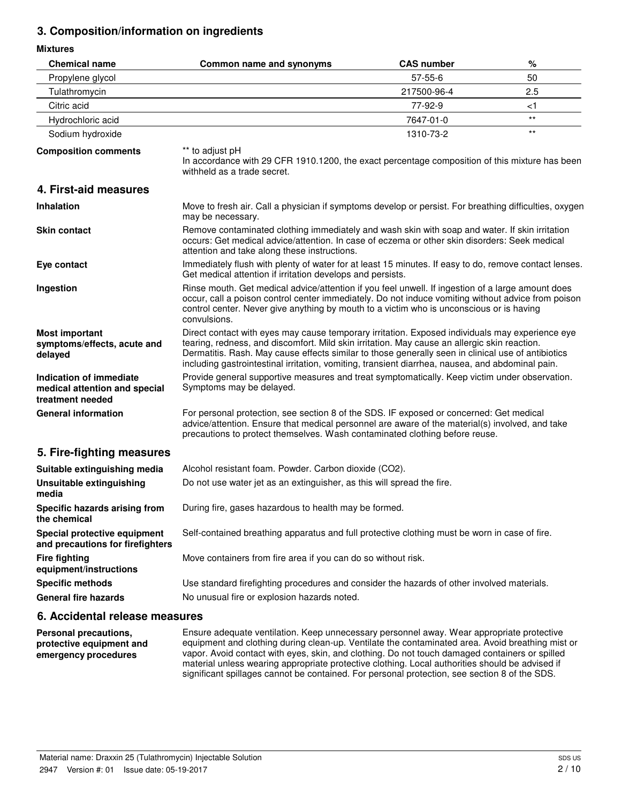# **3. Composition/information on ingredients**

**Mixtures**

| <b>Chemical name</b>                                                         | Common name and synonyms                                                                                                                                                                                                                                                                                                                                                                                  | <b>CAS number</b> | %     |
|------------------------------------------------------------------------------|-----------------------------------------------------------------------------------------------------------------------------------------------------------------------------------------------------------------------------------------------------------------------------------------------------------------------------------------------------------------------------------------------------------|-------------------|-------|
| Propylene glycol                                                             |                                                                                                                                                                                                                                                                                                                                                                                                           | 57-55-6           | 50    |
| Tulathromycin                                                                |                                                                                                                                                                                                                                                                                                                                                                                                           | 217500-96-4       | 2.5   |
| Citric acid                                                                  |                                                                                                                                                                                                                                                                                                                                                                                                           | 77-92-9           | ا>    |
| Hydrochloric acid                                                            |                                                                                                                                                                                                                                                                                                                                                                                                           | 7647-01-0         | $***$ |
| Sodium hydroxide                                                             |                                                                                                                                                                                                                                                                                                                                                                                                           | 1310-73-2         | $***$ |
| <b>Composition comments</b>                                                  | ** to adjust pH<br>In accordance with 29 CFR 1910.1200, the exact percentage composition of this mixture has been<br>withheld as a trade secret.                                                                                                                                                                                                                                                          |                   |       |
| 4. First-aid measures                                                        |                                                                                                                                                                                                                                                                                                                                                                                                           |                   |       |
| <b>Inhalation</b>                                                            | Move to fresh air. Call a physician if symptoms develop or persist. For breathing difficulties, oxygen<br>may be necessary.                                                                                                                                                                                                                                                                               |                   |       |
| <b>Skin contact</b>                                                          | Remove contaminated clothing immediately and wash skin with soap and water. If skin irritation<br>occurs: Get medical advice/attention. In case of eczema or other skin disorders: Seek medical<br>attention and take along these instructions.                                                                                                                                                           |                   |       |
| Eye contact                                                                  | Immediately flush with plenty of water for at least 15 minutes. If easy to do, remove contact lenses.<br>Get medical attention if irritation develops and persists.                                                                                                                                                                                                                                       |                   |       |
| Ingestion                                                                    | Rinse mouth. Get medical advice/attention if you feel unwell. If ingestion of a large amount does<br>occur, call a poison control center immediately. Do not induce vomiting without advice from poison<br>control center. Never give anything by mouth to a victim who is unconscious or is having<br>convulsions.                                                                                       |                   |       |
| <b>Most important</b><br>symptoms/effects, acute and<br>delayed              | Direct contact with eyes may cause temporary irritation. Exposed individuals may experience eye<br>tearing, redness, and discomfort. Mild skin irritation. May cause an allergic skin reaction.<br>Dermatitis. Rash. May cause effects similar to those generally seen in clinical use of antibiotics<br>including gastrointestinal irritation, vomiting, transient diarrhea, nausea, and abdominal pain. |                   |       |
| Indication of immediate<br>medical attention and special<br>treatment needed | Provide general supportive measures and treat symptomatically. Keep victim under observation.<br>Symptoms may be delayed.                                                                                                                                                                                                                                                                                 |                   |       |
| <b>General information</b>                                                   | For personal protection, see section 8 of the SDS. IF exposed or concerned: Get medical<br>advice/attention. Ensure that medical personnel are aware of the material(s) involved, and take<br>precautions to protect themselves. Wash contaminated clothing before reuse.                                                                                                                                 |                   |       |
| 5. Fire-fighting measures                                                    |                                                                                                                                                                                                                                                                                                                                                                                                           |                   |       |
| Suitable extinguishing media                                                 | Alcohol resistant foam. Powder. Carbon dioxide (CO2).                                                                                                                                                                                                                                                                                                                                                     |                   |       |
| <b>Unsuitable extinguishing</b><br>media                                     | Do not use water jet as an extinguisher, as this will spread the fire.                                                                                                                                                                                                                                                                                                                                    |                   |       |
| Specific hazards arising from<br>the chemical                                | During fire, gases hazardous to health may be formed.                                                                                                                                                                                                                                                                                                                                                     |                   |       |
| Special protective equipment<br>and precautions for firefighters             | Self-contained breathing apparatus and full protective clothing must be worn in case of fire.                                                                                                                                                                                                                                                                                                             |                   |       |
| <b>Fire fighting</b><br>equipment/instructions                               | Move containers from fire area if you can do so without risk.                                                                                                                                                                                                                                                                                                                                             |                   |       |
| <b>Specific methods</b>                                                      | Use standard firefighting procedures and consider the hazards of other involved materials.                                                                                                                                                                                                                                                                                                                |                   |       |
| <b>General fire hazards</b>                                                  | No unusual fire or explosion hazards noted.                                                                                                                                                                                                                                                                                                                                                               |                   |       |
| C. Assidented valence meansures                                              |                                                                                                                                                                                                                                                                                                                                                                                                           |                   |       |

### **6. Accidental release measures**

**Personal precautions, protective equipment and emergency procedures**

Ensure adequate ventilation. Keep unnecessary personnel away. Wear appropriate protective equipment and clothing during clean-up. Ventilate the contaminated area. Avoid breathing mist or vapor. Avoid contact with eyes, skin, and clothing. Do not touch damaged containers or spilled material unless wearing appropriate protective clothing. Local authorities should be advised if significant spillages cannot be contained. For personal protection, see section 8 of the SDS.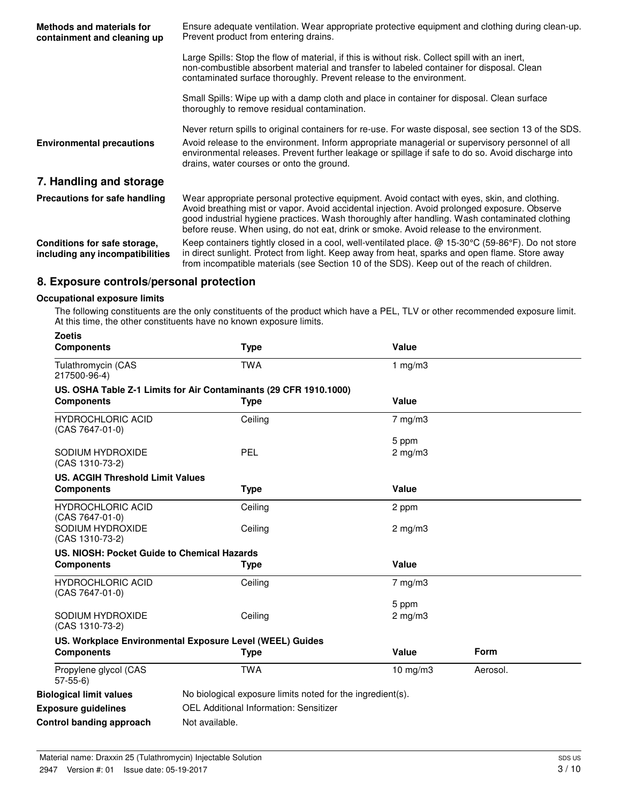| Methods and materials for<br>containment and cleaning up        | Ensure adequate ventilation. Wear appropriate protective equipment and clothing during clean-up.<br>Prevent product from entering drains.                                                                                                                                                                                                                                                |  |  |
|-----------------------------------------------------------------|------------------------------------------------------------------------------------------------------------------------------------------------------------------------------------------------------------------------------------------------------------------------------------------------------------------------------------------------------------------------------------------|--|--|
|                                                                 | Large Spills: Stop the flow of material, if this is without risk. Collect spill with an inert,<br>non-combustible absorbent material and transfer to labeled container for disposal. Clean<br>contaminated surface thoroughly. Prevent release to the environment.                                                                                                                       |  |  |
|                                                                 | Small Spills: Wipe up with a damp cloth and place in container for disposal. Clean surface<br>thoroughly to remove residual contamination.                                                                                                                                                                                                                                               |  |  |
|                                                                 | Never return spills to original containers for re-use. For waste disposal, see section 13 of the SDS.                                                                                                                                                                                                                                                                                    |  |  |
| <b>Environmental precautions</b>                                | Avoid release to the environment. Inform appropriate managerial or supervisory personnel of all<br>environmental releases. Prevent further leakage or spillage if safe to do so. Avoid discharge into<br>drains, water courses or onto the ground.                                                                                                                                       |  |  |
| 7. Handling and storage                                         |                                                                                                                                                                                                                                                                                                                                                                                          |  |  |
| Precautions for safe handling                                   | Wear appropriate personal protective equipment. Avoid contact with eyes, skin, and clothing.<br>Avoid breathing mist or vapor. Avoid accidental injection. Avoid prolonged exposure. Observe<br>good industrial hygiene practices. Wash thoroughly after handling. Wash contaminated clothing<br>before reuse. When using, do not eat, drink or smoke. Avoid release to the environment. |  |  |
| Conditions for safe storage,<br>including any incompatibilities | Keep containers tightly closed in a cool, well-ventilated place. @ 15-30°C (59-86°F). Do not store<br>in direct sunlight. Protect from light. Keep away from heat, sparks and open flame. Store away<br>from incompatible materials (see Section 10 of the SDS). Keep out of the reach of children.                                                                                      |  |  |

# **8. Exposure controls/personal protection**

### **Occupational exposure limits**

The following constituents are the only constituents of the product which have a PEL, TLV or other recommended exposure limit. At this time, the other constituents have no known exposure limits.

| <b>Zoetis</b><br><b>Components</b>                           | <b>Type</b>                                                                      | Value                 |          |
|--------------------------------------------------------------|----------------------------------------------------------------------------------|-----------------------|----------|
| Tulathromycin (CAS<br>217500-96-4)                           | <b>TWA</b>                                                                       | 1 $mg/m3$             |          |
| <b>Components</b>                                            | US. OSHA Table Z-1 Limits for Air Contaminants (29 CFR 1910.1000)<br><b>Type</b> | Value                 |          |
| <b>HYDROCHLORIC ACID</b><br>(CAS 7647-01-0)                  | Ceiling                                                                          | $7$ mg/m $3$          |          |
| SODIUM HYDROXIDE<br>(CAS 1310-73-2)                          | <b>PEL</b>                                                                       | 5 ppm<br>$2$ mg/m $3$ |          |
| <b>US. ACGIH Threshold Limit Values</b><br><b>Components</b> | <b>Type</b>                                                                      | Value                 |          |
| <b>HYDROCHLORIC ACID</b><br>(CAS 7647-01-0)                  | Ceiling                                                                          | 2 ppm                 |          |
| SODIUM HYDROXIDE<br>(CAS 1310-73-2)                          | Ceiling                                                                          | $2 \text{ mg/m}$      |          |
| US. NIOSH: Pocket Guide to Chemical Hazards                  |                                                                                  |                       |          |
| <b>Components</b>                                            | Type                                                                             | Value                 |          |
| <b>HYDROCHLORIC ACID</b><br>(CAS 7647-01-0)                  | Ceiling                                                                          | $7$ mg/m $3$          |          |
|                                                              |                                                                                  | 5 ppm                 |          |
| SODIUM HYDROXIDE<br>(CAS 1310-73-2)                          | Ceiling                                                                          | $2$ mg/m $3$          |          |
|                                                              | US. Workplace Environmental Exposure Level (WEEL) Guides                         |                       |          |
| <b>Components</b>                                            | <b>Type</b>                                                                      | Value                 | Form     |
| Propylene glycol (CAS<br>$57-55-6$                           | <b>TWA</b>                                                                       | $10$ mg/m $3$         | Aerosol. |
| <b>Biological limit values</b>                               | No biological exposure limits noted for the ingredient(s).                       |                       |          |
| <b>Exposure guidelines</b>                                   | OEL Additional Information: Sensitizer                                           |                       |          |
| Control banding approach                                     | Not available.                                                                   |                       |          |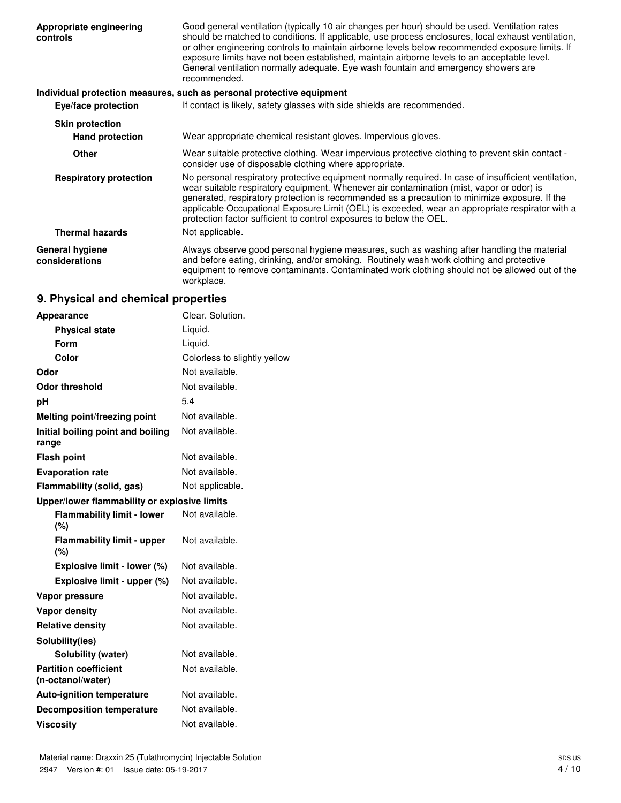| Appropriate engineering<br>controls      | Good general ventilation (typically 10 air changes per hour) should be used. Ventilation rates<br>should be matched to conditions. If applicable, use process enclosures, local exhaust ventilation,<br>or other engineering controls to maintain airborne levels below recommended exposure limits. If<br>exposure limits have not been established, maintain airborne levels to an acceptable level.<br>General ventilation normally adequate. Eye wash fountain and emergency showers are<br>recommended. |
|------------------------------------------|--------------------------------------------------------------------------------------------------------------------------------------------------------------------------------------------------------------------------------------------------------------------------------------------------------------------------------------------------------------------------------------------------------------------------------------------------------------------------------------------------------------|
|                                          | Individual protection measures, such as personal protective equipment                                                                                                                                                                                                                                                                                                                                                                                                                                        |
| Eye/face protection                      | If contact is likely, safety glasses with side shields are recommended.                                                                                                                                                                                                                                                                                                                                                                                                                                      |
| <b>Skin protection</b>                   |                                                                                                                                                                                                                                                                                                                                                                                                                                                                                                              |
| <b>Hand protection</b>                   | Wear appropriate chemical resistant gloves. Impervious gloves.                                                                                                                                                                                                                                                                                                                                                                                                                                               |
| <b>Other</b>                             | Wear suitable protective clothing. Wear impervious protective clothing to prevent skin contact -<br>consider use of disposable clothing where appropriate.                                                                                                                                                                                                                                                                                                                                                   |
| <b>Respiratory protection</b>            | No personal respiratory protective equipment normally required. In case of insufficient ventilation,<br>wear suitable respiratory equipment. Whenever air contamination (mist, vapor or odor) is<br>generated, respiratory protection is recommended as a precaution to minimize exposure. If the<br>applicable Occupational Exposure Limit (OEL) is exceeded, wear an appropriate respirator with a<br>protection factor sufficient to control exposures to below the OEL.                                  |
| <b>Thermal hazards</b>                   | Not applicable.                                                                                                                                                                                                                                                                                                                                                                                                                                                                                              |
| <b>General hygiene</b><br>considerations | Always observe good personal hygiene measures, such as washing after handling the material<br>and before eating, drinking, and/or smoking. Routinely wash work clothing and protective<br>equipment to remove contaminants. Contaminated work clothing should not be allowed out of the<br>workplace.                                                                                                                                                                                                        |

# **9. Physical and chemical properties**

| Appearance                                        | Clear. Solution.             |
|---------------------------------------------------|------------------------------|
| <b>Physical state</b>                             | Liquid.                      |
| Form                                              | Liquid.                      |
| Color                                             | Colorless to slightly yellow |
| Odor                                              | Not available.               |
| <b>Odor threshold</b>                             | Not available.               |
| рH                                                | 5.4                          |
| Melting point/freezing point                      | Not available.               |
| Initial boiling point and boiling<br>range        | Not available.               |
| <b>Flash point</b>                                | Not available.               |
| <b>Evaporation rate</b>                           | Not available.               |
| Flammability (solid, gas)                         | Not applicable.              |
| Upper/lower flammability or explosive limits      |                              |
| <b>Flammability limit - lower</b><br>(%)          | Not available.               |
| <b>Flammability limit - upper</b><br>(%)          | Not available.               |
| Explosive limit - lower (%)                       | Not available.               |
| Explosive limit - upper (%)                       | Not available.               |
| Vapor pressure                                    | Not available.               |
| <b>Vapor density</b>                              | Not available.               |
| <b>Relative density</b>                           | Not available.               |
| Solubility(ies)                                   |                              |
| <b>Solubility (water)</b>                         | Not available.               |
| <b>Partition coefficient</b><br>(n-octanol/water) | Not available.               |
| <b>Auto-ignition temperature</b>                  | Not available.               |
| <b>Decomposition temperature</b>                  | Not available.               |
| <b>Viscosity</b>                                  | Not available.               |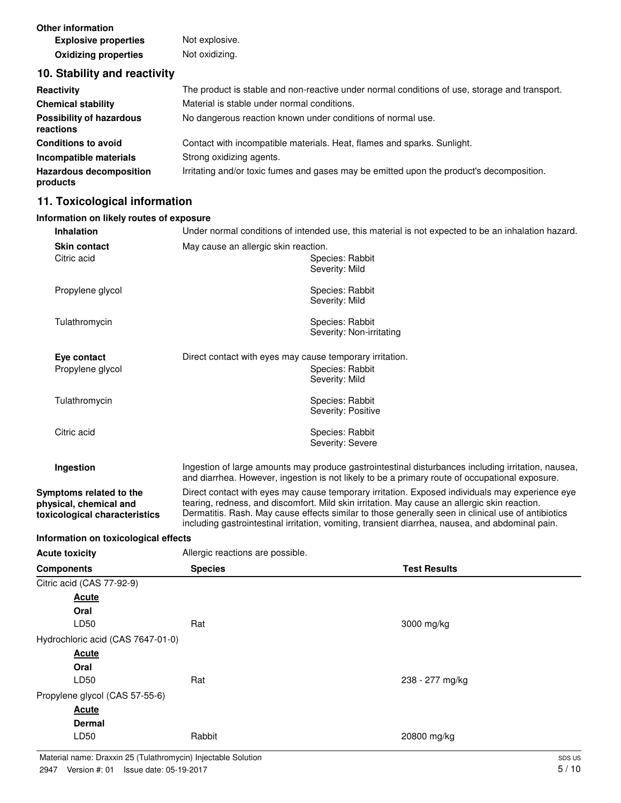**Other information Explosive properties** Not explosive. **Oxidizing properties** Not oxidizing.

### **10. Stability and reactivity**

| Reactivity                                   | The product is stable and non-reactive under normal conditions of use, storage and transport. |  |
|----------------------------------------------|-----------------------------------------------------------------------------------------------|--|
| <b>Chemical stability</b>                    | Material is stable under normal conditions.                                                   |  |
| <b>Possibility of hazardous</b><br>reactions | No dangerous reaction known under conditions of normal use.                                   |  |
| <b>Conditions to avoid</b>                   | Contact with incompatible materials. Heat, flames and sparks. Sunlight.                       |  |
| Incompatible materials                       | Strong oxidizing agents.                                                                      |  |
| <b>Hazardous decomposition</b><br>products   | Irritating and/or toxic fumes and gases may be emitted upon the product's decomposition.      |  |

# **11. Toxicological information**

# **Information on likely routes of exposure**

| <b>Inhalation</b>                       | Under normal conditions of intended use, this material is not expected to be an inhalation hazard. |                                                                                                                                                                                                    |  |
|-----------------------------------------|----------------------------------------------------------------------------------------------------|----------------------------------------------------------------------------------------------------------------------------------------------------------------------------------------------------|--|
| <b>Skin contact</b>                     |                                                                                                    | May cause an allergic skin reaction.                                                                                                                                                               |  |
| Citric acid                             |                                                                                                    | Species: Rabbit                                                                                                                                                                                    |  |
|                                         |                                                                                                    | Severity: Mild                                                                                                                                                                                     |  |
| Propylene glycol                        |                                                                                                    | Species: Rabbit                                                                                                                                                                                    |  |
|                                         |                                                                                                    | Severity: Mild                                                                                                                                                                                     |  |
| Tulathromycin                           |                                                                                                    | Species: Rabbit                                                                                                                                                                                    |  |
|                                         |                                                                                                    | Severity: Non-irritating                                                                                                                                                                           |  |
| Eye contact                             | Direct contact with eyes may cause temporary irritation.                                           |                                                                                                                                                                                                    |  |
| Propylene glycol                        |                                                                                                    | Species: Rabbit                                                                                                                                                                                    |  |
|                                         |                                                                                                    | Severity: Mild                                                                                                                                                                                     |  |
| Tulathromycin                           |                                                                                                    | Species: Rabbit                                                                                                                                                                                    |  |
|                                         |                                                                                                    | Severity: Positive                                                                                                                                                                                 |  |
| Citric acid                             |                                                                                                    | Species: Rabbit                                                                                                                                                                                    |  |
|                                         |                                                                                                    | Severity: Severe                                                                                                                                                                                   |  |
| Ingestion                               |                                                                                                    | Ingestion of large amounts may produce gastrointestinal disturbances including irritation, nausea,                                                                                                 |  |
|                                         |                                                                                                    | and diarrhea. However, ingestion is not likely to be a primary route of occupational exposure.                                                                                                     |  |
| Symptoms related to the                 | Direct contact with eyes may cause temporary irritation. Exposed individuals may experience eye    |                                                                                                                                                                                                    |  |
| physical, chemical and                  |                                                                                                    | tearing, redness, and discomfort. Mild skin irritation. May cause an allergic skin reaction.<br>Dermatitis. Rash. May cause effects similar to those generally seen in clinical use of antibiotics |  |
|                                         |                                                                                                    |                                                                                                                                                                                                    |  |
| toxicological characteristics           |                                                                                                    | including gastrointestinal irritation, vomiting, transient diarrhea, nausea, and abdominal pain.                                                                                                   |  |
| Information on toxicological effects    |                                                                                                    |                                                                                                                                                                                                    |  |
| <b>Acute toxicity</b>                   | Allergic reactions are possible.                                                                   |                                                                                                                                                                                                    |  |
| Components                              | <b>Species</b>                                                                                     | <b>Test Results</b>                                                                                                                                                                                |  |
| Citric acid (CAS 77-92-9)               |                                                                                                    |                                                                                                                                                                                                    |  |
| <u>Acute</u>                            |                                                                                                    |                                                                                                                                                                                                    |  |
| Oral                                    |                                                                                                    |                                                                                                                                                                                                    |  |
| LD50                                    | Rat                                                                                                | 3000 mg/kg                                                                                                                                                                                         |  |
| Hydrochloric acid (CAS 7647-01-0)       |                                                                                                    |                                                                                                                                                                                                    |  |
| <u>Acute</u>                            |                                                                                                    |                                                                                                                                                                                                    |  |
| Oral<br>LD50                            | Rat                                                                                                |                                                                                                                                                                                                    |  |
|                                         |                                                                                                    | 238 - 277 mg/kg                                                                                                                                                                                    |  |
| Propylene glycol (CAS 57-55-6)<br>Acute |                                                                                                    |                                                                                                                                                                                                    |  |
| <b>Dermal</b>                           |                                                                                                    |                                                                                                                                                                                                    |  |
| LD50                                    | Rabbit                                                                                             | 20800 mg/kg                                                                                                                                                                                        |  |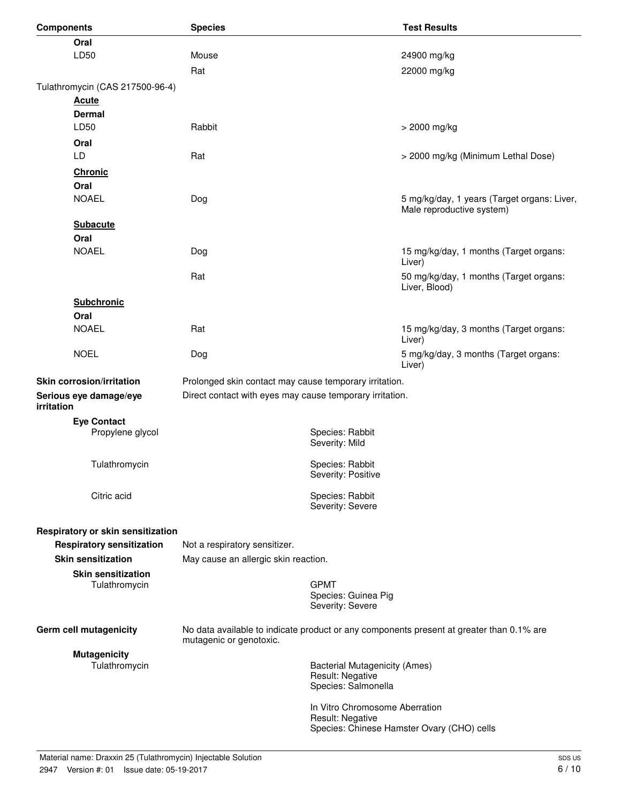| <b>Components</b>                    | <b>Species</b>                                           |                                                          | <b>Test Results</b>                                                                      |
|--------------------------------------|----------------------------------------------------------|----------------------------------------------------------|------------------------------------------------------------------------------------------|
| Oral                                 |                                                          |                                                          |                                                                                          |
| LD50                                 | Mouse                                                    |                                                          | 24900 mg/kg                                                                              |
|                                      | Rat                                                      |                                                          | 22000 mg/kg                                                                              |
| Tulathromycin (CAS 217500-96-4)      |                                                          |                                                          |                                                                                          |
| <b>Acute</b>                         |                                                          |                                                          |                                                                                          |
| <b>Dermal</b>                        |                                                          |                                                          |                                                                                          |
| LD50                                 | Rabbit                                                   |                                                          | > 2000 mg/kg                                                                             |
| Oral                                 |                                                          |                                                          |                                                                                          |
| LD                                   | Rat                                                      |                                                          | > 2000 mg/kg (Minimum Lethal Dose)                                                       |
| <b>Chronic</b>                       |                                                          |                                                          |                                                                                          |
| Oral                                 |                                                          |                                                          |                                                                                          |
| <b>NOAEL</b>                         | Dog                                                      |                                                          | 5 mg/kg/day, 1 years (Target organs: Liver,                                              |
|                                      |                                                          |                                                          | Male reproductive system)                                                                |
| <b>Subacute</b>                      |                                                          |                                                          |                                                                                          |
| Oral<br><b>NOAEL</b>                 |                                                          |                                                          | 15 mg/kg/day, 1 months (Target organs:                                                   |
|                                      | Dog                                                      |                                                          | Liver)                                                                                   |
|                                      | Rat                                                      |                                                          | 50 mg/kg/day, 1 months (Target organs:                                                   |
|                                      |                                                          |                                                          | Liver, Blood)                                                                            |
| <b>Subchronic</b>                    |                                                          |                                                          |                                                                                          |
| Oral                                 |                                                          |                                                          |                                                                                          |
| <b>NOAEL</b>                         | Rat                                                      |                                                          | 15 mg/kg/day, 3 months (Target organs:<br>Liver)                                         |
| <b>NOEL</b>                          | Dog                                                      |                                                          | 5 mg/kg/day, 3 months (Target organs:<br>Liver)                                          |
| <b>Skin corrosion/irritation</b>     | Prolonged skin contact may cause temporary irritation.   |                                                          |                                                                                          |
| Serious eye damage/eye<br>irritation | Direct contact with eyes may cause temporary irritation. |                                                          |                                                                                          |
| <b>Eye Contact</b>                   |                                                          |                                                          |                                                                                          |
| Propylene glycol                     |                                                          | Species: Rabbit                                          |                                                                                          |
|                                      |                                                          | Severity: Mild                                           |                                                                                          |
| Tulathromycin                        |                                                          | Species: Rabbit                                          |                                                                                          |
|                                      |                                                          | Severity: Positive                                       |                                                                                          |
| Citric acid                          |                                                          | Species: Rabbit                                          |                                                                                          |
|                                      |                                                          | Severity: Severe                                         |                                                                                          |
| Respiratory or skin sensitization    |                                                          |                                                          |                                                                                          |
| <b>Respiratory sensitization</b>     | Not a respiratory sensitizer.                            |                                                          |                                                                                          |
| <b>Skin sensitization</b>            | May cause an allergic skin reaction.                     |                                                          |                                                                                          |
| <b>Skin sensitization</b>            |                                                          |                                                          |                                                                                          |
| Tulathromycin                        |                                                          | <b>GPMT</b>                                              |                                                                                          |
|                                      |                                                          | Species: Guinea Pig                                      |                                                                                          |
|                                      |                                                          | Severity: Severe                                         |                                                                                          |
| Germ cell mutagenicity               |                                                          |                                                          | No data available to indicate product or any components present at greater than 0.1% are |
|                                      | mutagenic or genotoxic.                                  |                                                          |                                                                                          |
| <b>Mutagenicity</b><br>Tulathromycin |                                                          |                                                          |                                                                                          |
|                                      |                                                          | <b>Bacterial Mutagenicity (Ames)</b><br>Result: Negative |                                                                                          |
|                                      |                                                          | Species: Salmonella                                      |                                                                                          |
|                                      |                                                          | In Vitro Chromosome Aberration                           |                                                                                          |
|                                      |                                                          | Result: Negative                                         |                                                                                          |
|                                      |                                                          |                                                          | Species: Chinese Hamster Ovary (CHO) cells                                               |
|                                      |                                                          |                                                          |                                                                                          |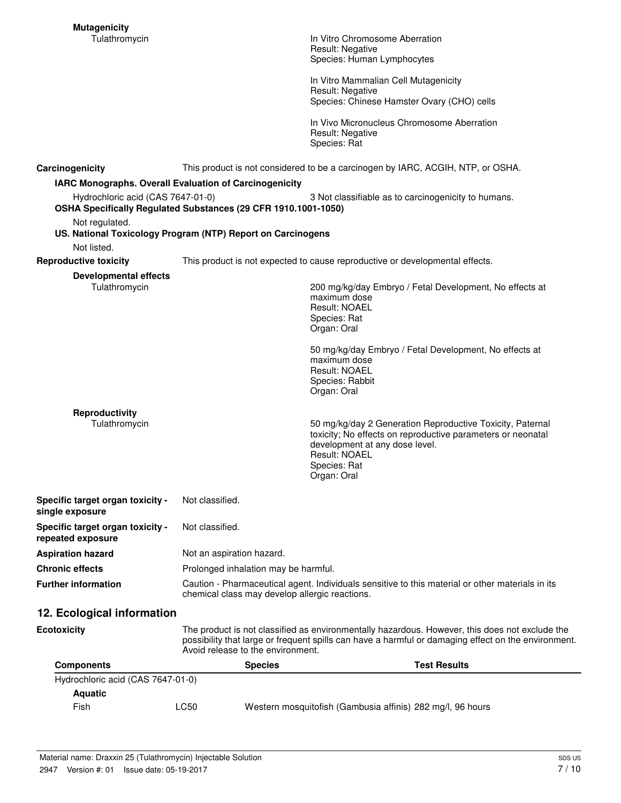In Vitro Chromosome Aberration Result: Negative Species: Human Lymphocytes

In Vitro Mammalian Cell Mutagenicity Result: Negative Species: Chinese Hamster Ovary (CHO) cells

In Vivo Micronucleus Chromosome Aberration Result: Negative Species: Rat

**Carcinogenicity** This product is not considered to be a carcinogen by IARC, ACGIH, NTP, or OSHA.

#### **IARC Monographs. Overall Evaluation of Carcinogenicity**

|                                                       | IARC Monographs. Overall Evaluation of Carcinogenicity                                                                                                                                                                                     |                                                                                                                                                                                                            |
|-------------------------------------------------------|--------------------------------------------------------------------------------------------------------------------------------------------------------------------------------------------------------------------------------------------|------------------------------------------------------------------------------------------------------------------------------------------------------------------------------------------------------------|
| Hydrochloric acid (CAS 7647-01-0)                     | OSHA Specifically Regulated Substances (29 CFR 1910.1001-1050)                                                                                                                                                                             | 3 Not classifiable as to carcinogenicity to humans.                                                                                                                                                        |
| Not regulated.                                        |                                                                                                                                                                                                                                            |                                                                                                                                                                                                            |
|                                                       | US. National Toxicology Program (NTP) Report on Carcinogens                                                                                                                                                                                |                                                                                                                                                                                                            |
| Not listed.                                           |                                                                                                                                                                                                                                            |                                                                                                                                                                                                            |
| <b>Reproductive toxicity</b>                          | This product is not expected to cause reproductive or developmental effects.                                                                                                                                                               |                                                                                                                                                                                                            |
| Developmental effects<br>Tulathromycin                |                                                                                                                                                                                                                                            | 200 mg/kg/day Embryo / Fetal Development, No effects at<br>maximum dose<br>Result: NOAEL<br>Species: Rat<br>Organ: Oral                                                                                    |
|                                                       |                                                                                                                                                                                                                                            | 50 mg/kg/day Embryo / Fetal Development, No effects at<br>maximum dose<br><b>Result: NOAEL</b><br>Species: Rabbit<br>Organ: Oral                                                                           |
| Reproductivity<br>Tulathromycin                       |                                                                                                                                                                                                                                            | 50 mg/kg/day 2 Generation Reproductive Toxicity, Paternal<br>toxicity; No effects on reproductive parameters or neonatal<br>development at any dose level.<br>Result: NOAEL<br>Species: Rat<br>Organ: Oral |
| Specific target organ toxicity -<br>single exposure   | Not classified.                                                                                                                                                                                                                            |                                                                                                                                                                                                            |
| Specific target organ toxicity -<br>repeated exposure | Not classified.                                                                                                                                                                                                                            |                                                                                                                                                                                                            |
| <b>Aspiration hazard</b>                              | Not an aspiration hazard.                                                                                                                                                                                                                  |                                                                                                                                                                                                            |
| Chronic effects                                       | Prolonged inhalation may be harmful.                                                                                                                                                                                                       |                                                                                                                                                                                                            |
| <b>Further information</b>                            | Caution - Pharmaceutical agent. Individuals sensitive to this material or other materials in its<br>chemical class may develop allergic reactions.                                                                                         |                                                                                                                                                                                                            |
| 12. Ecological information                            |                                                                                                                                                                                                                                            |                                                                                                                                                                                                            |
| Ecotoxicity                                           | The product is not classified as environmentally hazardous. However, this does not exclude the<br>possibility that large or frequent spills can have a harmful or damaging effect on the environment.<br>Avoid release to the environment. |                                                                                                                                                                                                            |
| <b>Components</b>                                     | <b>Species</b>                                                                                                                                                                                                                             | <b>Test Results</b>                                                                                                                                                                                        |
| Hydrochloric acid (CAS 7647-01-0)<br><b>Aquatic</b>   |                                                                                                                                                                                                                                            |                                                                                                                                                                                                            |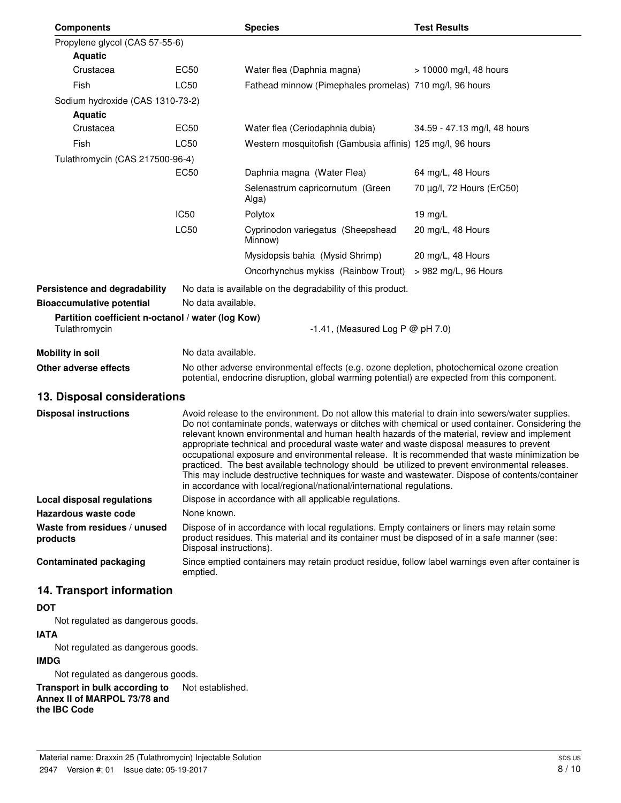| <b>Components</b>                                                  |                                                                                                                                                                                                                                                                                                                                                                                                                                                                                                                                                                                                                                                                                                                                                                               | <b>Species</b>                                                                                                                                                                                                         | <b>Test Results</b>          |  |  |
|--------------------------------------------------------------------|-------------------------------------------------------------------------------------------------------------------------------------------------------------------------------------------------------------------------------------------------------------------------------------------------------------------------------------------------------------------------------------------------------------------------------------------------------------------------------------------------------------------------------------------------------------------------------------------------------------------------------------------------------------------------------------------------------------------------------------------------------------------------------|------------------------------------------------------------------------------------------------------------------------------------------------------------------------------------------------------------------------|------------------------------|--|--|
| Propylene glycol (CAS 57-55-6)                                     |                                                                                                                                                                                                                                                                                                                                                                                                                                                                                                                                                                                                                                                                                                                                                                               |                                                                                                                                                                                                                        |                              |  |  |
| <b>Aquatic</b>                                                     |                                                                                                                                                                                                                                                                                                                                                                                                                                                                                                                                                                                                                                                                                                                                                                               |                                                                                                                                                                                                                        |                              |  |  |
| Crustacea                                                          | EC50                                                                                                                                                                                                                                                                                                                                                                                                                                                                                                                                                                                                                                                                                                                                                                          | Water flea (Daphnia magna)                                                                                                                                                                                             | $> 10000$ mg/l, 48 hours     |  |  |
| Fish                                                               | LC50                                                                                                                                                                                                                                                                                                                                                                                                                                                                                                                                                                                                                                                                                                                                                                          | Fathead minnow (Pimephales promelas) 710 mg/l, 96 hours                                                                                                                                                                |                              |  |  |
| Sodium hydroxide (CAS 1310-73-2)                                   |                                                                                                                                                                                                                                                                                                                                                                                                                                                                                                                                                                                                                                                                                                                                                                               |                                                                                                                                                                                                                        |                              |  |  |
| <b>Aquatic</b>                                                     |                                                                                                                                                                                                                                                                                                                                                                                                                                                                                                                                                                                                                                                                                                                                                                               |                                                                                                                                                                                                                        |                              |  |  |
| Crustacea                                                          | EC50                                                                                                                                                                                                                                                                                                                                                                                                                                                                                                                                                                                                                                                                                                                                                                          | Water flea (Ceriodaphnia dubia)                                                                                                                                                                                        | 34.59 - 47.13 mg/l, 48 hours |  |  |
| Fish                                                               | LC50                                                                                                                                                                                                                                                                                                                                                                                                                                                                                                                                                                                                                                                                                                                                                                          | Western mosquitofish (Gambusia affinis) 125 mg/l, 96 hours                                                                                                                                                             |                              |  |  |
| Tulathromycin (CAS 217500-96-4)                                    |                                                                                                                                                                                                                                                                                                                                                                                                                                                                                                                                                                                                                                                                                                                                                                               |                                                                                                                                                                                                                        |                              |  |  |
|                                                                    | EC <sub>50</sub>                                                                                                                                                                                                                                                                                                                                                                                                                                                                                                                                                                                                                                                                                                                                                              | Daphnia magna (Water Flea)                                                                                                                                                                                             | 64 mg/L, 48 Hours            |  |  |
|                                                                    |                                                                                                                                                                                                                                                                                                                                                                                                                                                                                                                                                                                                                                                                                                                                                                               | Selenastrum capricornutum (Green<br>Alga)                                                                                                                                                                              | 70 μg/l, 72 Hours (ErC50)    |  |  |
|                                                                    | <b>IC50</b>                                                                                                                                                                                                                                                                                                                                                                                                                                                                                                                                                                                                                                                                                                                                                                   | Polytox                                                                                                                                                                                                                | 19 mg/L                      |  |  |
|                                                                    | <b>LC50</b>                                                                                                                                                                                                                                                                                                                                                                                                                                                                                                                                                                                                                                                                                                                                                                   | Cyprinodon variegatus (Sheepshead<br>Minnow)                                                                                                                                                                           | 20 mg/L, 48 Hours            |  |  |
|                                                                    |                                                                                                                                                                                                                                                                                                                                                                                                                                                                                                                                                                                                                                                                                                                                                                               | Mysidopsis bahia (Mysid Shrimp)                                                                                                                                                                                        | 20 mg/L, 48 Hours            |  |  |
|                                                                    |                                                                                                                                                                                                                                                                                                                                                                                                                                                                                                                                                                                                                                                                                                                                                                               | Oncorhynchus mykiss (Rainbow Trout)                                                                                                                                                                                    | > 982 mg/L, 96 Hours         |  |  |
| Persistence and degradability                                      |                                                                                                                                                                                                                                                                                                                                                                                                                                                                                                                                                                                                                                                                                                                                                                               | No data is available on the degradability of this product.                                                                                                                                                             |                              |  |  |
| <b>Bioaccumulative potential</b>                                   | No data available.                                                                                                                                                                                                                                                                                                                                                                                                                                                                                                                                                                                                                                                                                                                                                            |                                                                                                                                                                                                                        |                              |  |  |
| Partition coefficient n-octanol / water (log Kow)<br>Tulathromycin |                                                                                                                                                                                                                                                                                                                                                                                                                                                                                                                                                                                                                                                                                                                                                                               | -1.41, (Measured Log P $@$ pH 7.0)                                                                                                                                                                                     |                              |  |  |
| <b>Mobility in soil</b>                                            |                                                                                                                                                                                                                                                                                                                                                                                                                                                                                                                                                                                                                                                                                                                                                                               | No data available.                                                                                                                                                                                                     |                              |  |  |
| Other adverse effects                                              |                                                                                                                                                                                                                                                                                                                                                                                                                                                                                                                                                                                                                                                                                                                                                                               | No other adverse environmental effects (e.g. ozone depletion, photochemical ozone creation<br>potential, endocrine disruption, global warming potential) are expected from this component.                             |                              |  |  |
| 13. Disposal considerations                                        |                                                                                                                                                                                                                                                                                                                                                                                                                                                                                                                                                                                                                                                                                                                                                                               |                                                                                                                                                                                                                        |                              |  |  |
| <b>Disposal instructions</b>                                       | Avoid release to the environment. Do not allow this material to drain into sewers/water supplies.<br>Do not contaminate ponds, waterways or ditches with chemical or used container. Considering the<br>relevant known environmental and human health hazards of the material, review and implement<br>appropriate technical and procedural waste water and waste disposal measures to prevent<br>occupational exposure and environmental release. It is recommended that waste minimization be<br>practiced. The best available technology should be utilized to prevent environmental releases.<br>This may include destructive techniques for waste and wastewater. Dispose of contents/container<br>in accordance with local/regional/national/international regulations. |                                                                                                                                                                                                                        |                              |  |  |
| <b>Local disposal regulations</b>                                  |                                                                                                                                                                                                                                                                                                                                                                                                                                                                                                                                                                                                                                                                                                                                                                               | Dispose in accordance with all applicable regulations.                                                                                                                                                                 |                              |  |  |
| Hazardous waste code                                               | None known.                                                                                                                                                                                                                                                                                                                                                                                                                                                                                                                                                                                                                                                                                                                                                                   |                                                                                                                                                                                                                        |                              |  |  |
| Waste from residues / unused<br>products                           |                                                                                                                                                                                                                                                                                                                                                                                                                                                                                                                                                                                                                                                                                                                                                                               | Dispose of in accordance with local regulations. Empty containers or liners may retain some<br>product residues. This material and its container must be disposed of in a safe manner (see:<br>Disposal instructions). |                              |  |  |
| <b>Contaminated packaging</b>                                      | emptied.                                                                                                                                                                                                                                                                                                                                                                                                                                                                                                                                                                                                                                                                                                                                                                      | Since emptied containers may retain product residue, follow label warnings even after container is                                                                                                                     |                              |  |  |

# **14. Transport information**

### **DOT**

Not regulated as dangerous goods.

### **IATA**

Not regulated as dangerous goods.

### **IMDG**

Not regulated as dangerous goods.

**Transport in bulk according to** Not established. **Annex II of MARPOL 73/78 and the IBC Code**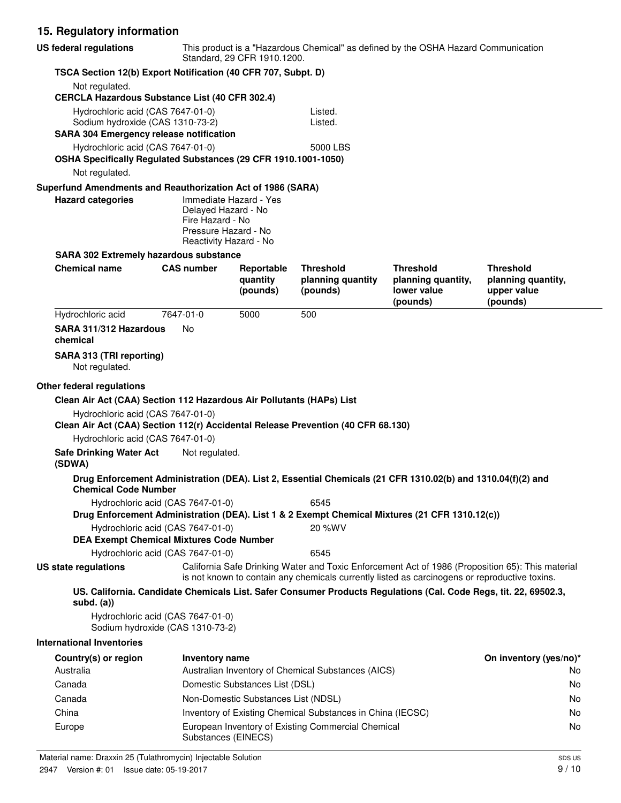# **15. Regulatory information**

| <b>US federal regulations</b>                                                                                           | This product is a "Hazardous Chemical" as defined by the OSHA Hazard Communication<br>Standard, 29 CFR 1910.1200. |                                     |                                                            |                                                                                                                  |                                                                                                  |
|-------------------------------------------------------------------------------------------------------------------------|-------------------------------------------------------------------------------------------------------------------|-------------------------------------|------------------------------------------------------------|------------------------------------------------------------------------------------------------------------------|--------------------------------------------------------------------------------------------------|
| TSCA Section 12(b) Export Notification (40 CFR 707, Subpt. D)                                                           |                                                                                                                   |                                     |                                                            |                                                                                                                  |                                                                                                  |
| Not regulated.<br><b>CERCLA Hazardous Substance List (40 CFR 302.4)</b>                                                 |                                                                                                                   |                                     |                                                            |                                                                                                                  |                                                                                                  |
| Hydrochloric acid (CAS 7647-01-0)<br>Sodium hydroxide (CAS 1310-73-2)<br><b>SARA 304 Emergency release notification</b> |                                                                                                                   |                                     | Listed.<br>Listed.                                         |                                                                                                                  |                                                                                                  |
| Hydrochloric acid (CAS 7647-01-0)<br>OSHA Specifically Regulated Substances (29 CFR 1910.1001-1050)                     |                                                                                                                   |                                     | 5000 LBS                                                   |                                                                                                                  |                                                                                                  |
| Not regulated.                                                                                                          |                                                                                                                   |                                     |                                                            |                                                                                                                  |                                                                                                  |
| Superfund Amendments and Reauthorization Act of 1986 (SARA)                                                             |                                                                                                                   |                                     |                                                            |                                                                                                                  |                                                                                                  |
| <b>Hazard categories</b>                                                                                                | Delayed Hazard - No<br>Fire Hazard - No<br>Pressure Hazard - No<br>Reactivity Hazard - No                         | Immediate Hazard - Yes              |                                                            |                                                                                                                  |                                                                                                  |
| <b>SARA 302 Extremely hazardous substance</b>                                                                           |                                                                                                                   |                                     |                                                            |                                                                                                                  |                                                                                                  |
| <b>Chemical name</b>                                                                                                    | <b>CAS number</b>                                                                                                 | Reportable<br>quantity<br>(pounds)  | <b>Threshold</b><br>planning quantity<br>(pounds)          | Threshold<br>planning quantity,<br>lower value<br>(pounds)                                                       | Threshold<br>planning quantity,<br>upper value<br>(pounds)                                       |
| Hydrochloric acid                                                                                                       | 7647-01-0                                                                                                         | 5000                                | 500                                                        |                                                                                                                  |                                                                                                  |
| SARA 311/312 Hazardous<br>chemical                                                                                      | No                                                                                                                |                                     |                                                            |                                                                                                                  |                                                                                                  |
| SARA 313 (TRI reporting)<br>Not regulated.                                                                              |                                                                                                                   |                                     |                                                            |                                                                                                                  |                                                                                                  |
| Other federal regulations                                                                                               |                                                                                                                   |                                     |                                                            |                                                                                                                  |                                                                                                  |
| Clean Air Act (CAA) Section 112 Hazardous Air Pollutants (HAPs) List                                                    |                                                                                                                   |                                     |                                                            |                                                                                                                  |                                                                                                  |
| Hydrochloric acid (CAS 7647-01-0)<br>Clean Air Act (CAA) Section 112(r) Accidental Release Prevention (40 CFR 68.130)   |                                                                                                                   |                                     |                                                            |                                                                                                                  |                                                                                                  |
| Hydrochloric acid (CAS 7647-01-0)                                                                                       |                                                                                                                   |                                     |                                                            |                                                                                                                  |                                                                                                  |
| <b>Safe Drinking Water Act</b><br>(SDWA)                                                                                | Not regulated.                                                                                                    |                                     |                                                            |                                                                                                                  |                                                                                                  |
| <b>Chemical Code Number</b>                                                                                             |                                                                                                                   |                                     |                                                            | Drug Enforcement Administration (DEA). List 2, Essential Chemicals (21 CFR 1310.02(b) and 1310.04(f)(2) and      |                                                                                                  |
| Hydrochloric acid (CAS 7647-01-0)                                                                                       |                                                                                                                   |                                     | 6545                                                       |                                                                                                                  |                                                                                                  |
|                                                                                                                         |                                                                                                                   |                                     |                                                            | Drug Enforcement Administration (DEA). List 1 & 2 Exempt Chemical Mixtures (21 CFR 1310.12(c))                   |                                                                                                  |
| Hydrochloric acid (CAS 7647-01-0)<br><b>DEA Exempt Chemical Mixtures Code Number</b>                                    |                                                                                                                   |                                     | 20 %WV                                                     |                                                                                                                  |                                                                                                  |
| Hydrochloric acid (CAS 7647-01-0)                                                                                       |                                                                                                                   |                                     | 6545                                                       |                                                                                                                  |                                                                                                  |
| <b>US state regulations</b>                                                                                             |                                                                                                                   |                                     |                                                            | is not known to contain any chemicals currently listed as carcinogens or reproductive toxins.                    | California Safe Drinking Water and Toxic Enforcement Act of 1986 (Proposition 65): This material |
| subd. $(a)$                                                                                                             |                                                                                                                   |                                     |                                                            | US. California. Candidate Chemicals List. Safer Consumer Products Regulations (Cal. Code Regs, tit. 22, 69502.3, |                                                                                                  |
| Hydrochloric acid (CAS 7647-01-0)<br>Sodium hydroxide (CAS 1310-73-2)                                                   |                                                                                                                   |                                     |                                                            |                                                                                                                  |                                                                                                  |
| <b>International Inventories</b>                                                                                        |                                                                                                                   |                                     |                                                            |                                                                                                                  |                                                                                                  |
| Country(s) or region                                                                                                    | <b>Inventory name</b>                                                                                             |                                     |                                                            |                                                                                                                  | On inventory (yes/no)*                                                                           |
| Australia                                                                                                               |                                                                                                                   |                                     | Australian Inventory of Chemical Substances (AICS)         |                                                                                                                  | No.                                                                                              |
| Canada                                                                                                                  |                                                                                                                   | Domestic Substances List (DSL)      |                                                            |                                                                                                                  | No                                                                                               |
| Canada                                                                                                                  |                                                                                                                   | Non-Domestic Substances List (NDSL) |                                                            |                                                                                                                  | No                                                                                               |
| China                                                                                                                   |                                                                                                                   |                                     | Inventory of Existing Chemical Substances in China (IECSC) |                                                                                                                  | No                                                                                               |
| Europe                                                                                                                  | Substances (EINECS)                                                                                               |                                     | European Inventory of Existing Commercial Chemical         |                                                                                                                  | No                                                                                               |